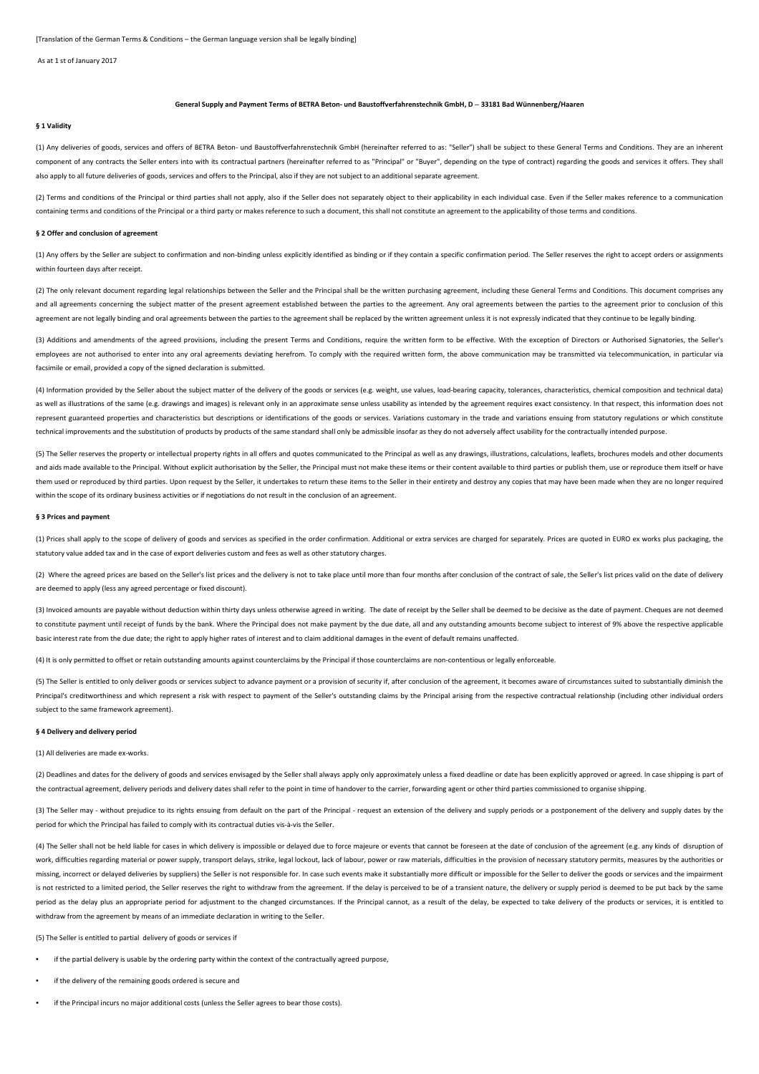As at 1 st of January 2017

# **General Supply and Payment Terms of BETRA Beton- und Baustoffverfahrenstechnik GmbH, D** – **33181 Bad Wünnenberg/Haaren**

## **§ 1 Validity**

(1) Any deliveries of goods, services and offers of BETRA Beton- und Baustoffverfahrenstechnik GmbH (hereinafter referred to as: "Seller") shall be subject to these General Terms and Conditions. They are an inherent component of any contracts the Seller enters into with its contractual partners (hereinafter referred to as "Principal" or "Buyer", depending on the type of contract) regarding the goods and services it offers. They shall also apply to all future deliveries of goods, services and offers to the Principal, also if they are not subject to an additional separate agreement.

(2) Terms and conditions of the Principal or third parties shall not apply, also if the Seller does not separately object to their applicability in each individual case. Even if the Seller makes reference to a communicatio containing terms and conditions of the Principal or a third party or makes reference to such a document, this shall not constitute an agreement to the applicability of those terms and conditions.

### **§ 2 Offer and conclusion of agreement**

(1) Any offers by the Seller are subject to confirmation and non-binding unless explicitly identified as binding or if they contain a specific confirmation period. The Seller reserves the right to accept orders or assignme within fourteen days after receipt.

(2) The only relevant document regarding legal relationships between the Seller and the Principal shall be the written purchasing agreement, including these General Terms and Conditions. This document comprises any and all agreements concerning the subject matter of the present agreement established between the parties to the agreement. Any oral agreements between the parties to the agreement prior to conclusion of this agreement are not legally binding and oral agreements between the parties to the agreement shall be replaced by the written agreement unless it is not expressly indicated that they continue to be legally binding.

(3) Additions and amendments of the agreed provisions, including the present Terms and Conditions, require the written form to be effective. With the exception of Directors or Authorised Signatories, the Seller's employees are not authorised to enter into any oral agreements deviating herefrom. To comply with the required written form, the above communication may be transmitted via telecommunication, in particular via facsimile or email, provided a copy of the signed declaration is submitted.

(4) Information provided by the Seller about the subject matter of the delivery of the goods or services (e.g. weight, use values, load-bearing capacity, tolerances, characteristics, chemical composition and technical data) as well as illustrations of the same (e.g. drawings and images) is relevant only in an approximate sense unless usability as intended by the agreement requires exact consistency. In that respect, this information does not represent guaranteed properties and characteristics but descriptions or identifications of the goods or services. Variations customary in the trade and variations ensuing from statutory regulations or which constitute technical improvements and the substitution of products by products of the same standard shall only be admissible insofar as they do not adversely affect usability for the contractually intended purpose.

(5) The Seller reserves the property or intellectual property rights in all offers and quotes communicated to the Principal as well as any drawings, illustrations, calculations, leaflets, brochures models and other documents and aids made available to the Principal. Without explicit authorisation by the Seller, the Principal must not make these items or their content available to third parties or publish them, use or reproduce them itself or h them used or reproduced by third parties. Upon request by the Seller, it undertakes to return these items to the Seller in their entirety and destroy any copies that may have been made when they are no longer required within the scope of its ordinary business activities or if negotiations do not result in the conclusion of an agreement.

#### **§ 3 Prices and payment**

(1) Prices shall apply to the scope of delivery of goods and services as specified in the order confirmation. Additional or extra services are charged for separately. Prices are quoted in EURO ex works plus packaging, the statutory value added tax and in the case of export deliveries custom and fees as well as other statutory charges.

(2) Where the agreed prices are based on the Seller's list prices and the delivery is not to take place until more than four months after conclusion of the contract of sale, the Seller's list prices valid on the date of de are deemed to apply (less any agreed percentage or fixed discount).

(3) Invoiced amounts are payable without deduction within thirty days unless otherwise agreed in writing. The date of receipt by the Seller shall be deemed to be decisive as the date of payment. Cheques are not deemed to constitute payment until receipt of funds by the bank. Where the Principal does not make payment by the due date, all and any outstanding amounts become subject to interest of 9% above the respective applicable basic interest rate from the due date; the right to apply higher rates of interest and to claim additional damages in the event of default remains unaffected.

(4) It is only permitted to offset or retain outstanding amounts against counterclaims by the Principal if those counterclaims are non-contentious or legally enforceable.

(5) The Seller is entitled to only deliver goods or services subject to advance payment or a provision of security if, after conclusion of the agreement, it becomes aware of circumstances suited to substantially diminish t Principal's creditworthiness and which represent a risk with respect to payment of the Seller's outstanding claims by the Principal arising from the respective contractual relationship (including other individual orders subject to the same framework agreement).

# **§ 4 Delivery and delivery period**

### (1) All deliveries are made ex-works.

(2) Deadlines and dates for the delivery of goods and services envisaged by the Seller shall always apply only approximately unless a fixed deadline or date has been explicitly approved or agreed. In case shipping is part the contractual agreement, delivery periods and delivery dates shall refer to the point in time of handover to the carrier, forwarding agent or other third parties commissioned to organise shipping.

(3) The Seller may - without prejudice to its rights ensuing from default on the part of the Principal - request an extension of the delivery and supply periods or a postponement of the delivery and supply dates by the period for which the Principal has failed to comply with its contractual duties vis-à-vis the Seller.

(4) The Seller shall not be held liable for cases in which delivery is impossible or delayed due to force majeure or events that cannot be foreseen at the date of conclusion of the agreement (e.g. any kinds of disruption o work, difficulties regarding material or power supply, transport delays, strike, legal lockout, lack of labour, power or raw materials, difficulties in the provision of necessary statutory permits, measures by the authorit missing, incorrect or delayed deliveries by suppliers) the Seller is not responsible for. In case such events make it substantially more difficult or impossible for the Seller to deliver the goods or services and the impai is not restricted to a limited period, the Seller reserves the right to withdraw from the agreement. If the delay is perceived to be of a transient nature, the delivery or supply period is deemed to be put back by the same period as the delay plus an appropriate period for adjustment to the changed circumstances. If the Principal cannot, as a result of the delay, be expected to take delivery of the products or services, it is entitled to withdraw from the agreement by means of an immediate declaration in writing to the Seller.

(5) The Seller is entitled to partial delivery of goods or services if

- if the partial delivery is usable by the ordering party within the context of the contractually agreed purpose,
- if the delivery of the remaining goods ordered is secure and
- if the Principal incurs no major additional costs (unless the Seller agrees to bear those costs).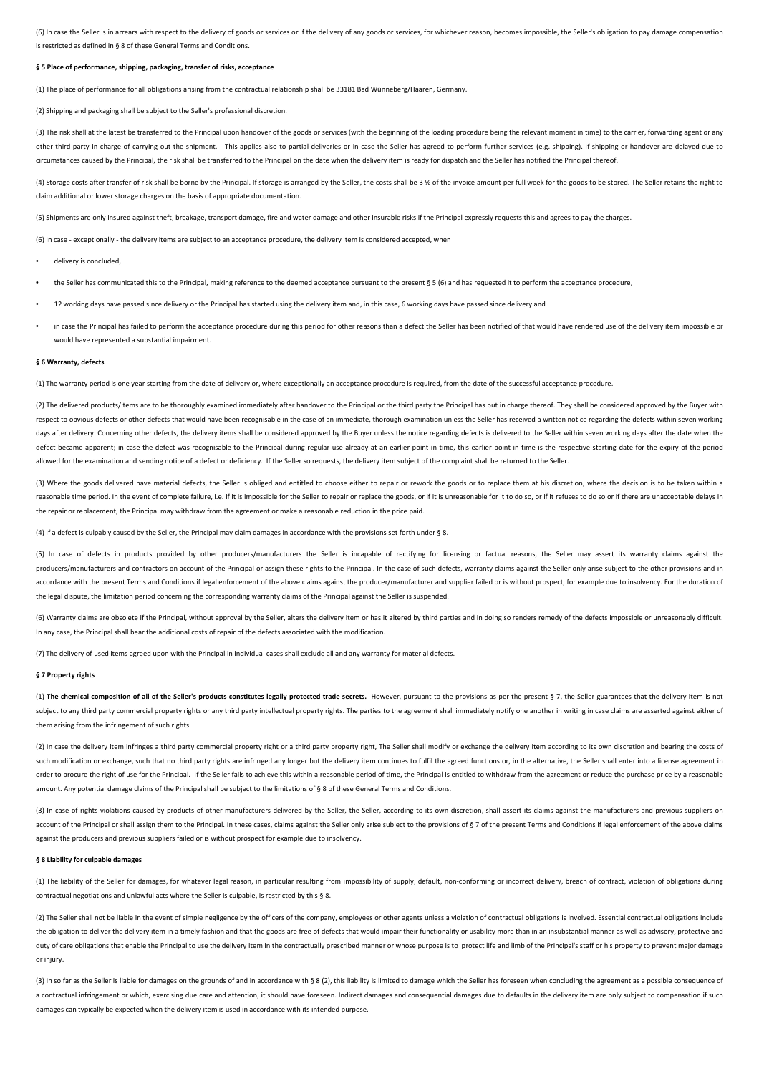(6) In case the Seller is in arrears with respect to the delivery of goods or services or if the delivery of any goods or services, for whichever reason, becomes impossible, the Seller's obligation to pay damage compensati is restricted as defined in § 8 of these General Terms and Conditions.

## **§ 5 Place of performance, shipping, packaging, transfer of risks, acceptance**

(1) The place of performance for all obligations arising from the contractual relationship shall be 33181 Bad Wünneberg/Haaren, Germany.

(2) Shipping and packaging shall be subject to the Seller's professional discretion.

(3) The risk shall at the latest be transferred to the Principal upon handover of the goods or services (with the beginning of the loading procedure being the relevant moment in time) to the carrier, forwarding agent or an other third party in charge of carrying out the shipment. This applies also to partial deliveries or in case the Seller has agreed to perform further services (e.g. shipping). If shipping or handover are delayed due to circumstances caused by the Principal, the risk shall be transferred to the Principal on the date when the delivery item is ready for dispatch and the Seller has notified the Principal thereof.

(4) Storage costs after transfer of risk shall be borne by the Principal. If storage is arranged by the Seller, the costs shall be 3% of the invoice amount per full week for the goods to be stored. The Seller retains the r claim additional or lower storage charges on the basis of appropriate documentation.

(5) Shipments are only insured against theft, breakage, transport damage, fire and water damage and other insurable risks if the Principal expressly requests this and agrees to pay the charges.

(6) In case - exceptionally - the delivery items are subject to an acceptance procedure, the delivery item is considered accepted, when

- delivery is concluded,
- the Seller has communicated this to the Principal, making reference to the deemed acceptance pursuant to the present § 5 (6) and has requested it to perform the acceptance procedure,
- 12 working days have passed since delivery or the Principal has started using the delivery item and, in this case, 6 working days have passed since delivery and
- in case the Principal has failed to perform the acceptance procedure during this period for other reasons than a defect the Seller has been notified of that would have rendered use of the delivery item impossible or would have represented a substantial impairment.

## **§ 6 Warranty, defects**

(1) The warranty period is one year starting from the date of delivery or, where exceptionally an acceptance procedure is required, from the date of the successful acceptance procedure.

(2) The delivered products/items are to be thoroughly examined immediately after handover to the Principal or the third party the Principal has put in charge thereof. They shall be considered approved by the Buyer with (2) respect to obvious defects or other defects that would have been recognisable in the case of an immediate, thorough examination unless the Seller has received a written notice regarding the defects within seven working days after delivery. Concerning other defects, the delivery items shall be considered approved by the Buyer unless the notice regarding defects is delivered to the Seller within seven working days after the date when the defect became apparent; in case the defect was recognisable to the Principal during regular use already at an earlier point in time, this earlier point in time is the respective starting date for the expiry of the period allowed for the examination and sending notice of a defect or deficiency. If the Seller so requests, the delivery item subject of the complaint shall be returned to the Seller.

(3) Where the goods delivered have material defects, the Seller is obliged and entitled to choose either to repair or rework the goods or to replace them at his discretion, where the decision is to be taken within a reasonable time period. In the event of complete failure, i.e. if it is impossible for the Seller to repair or replace the goods, or if it is unreasonable for it to do so, or if it refuses to do so or if there are unaccept the repair or replacement, the Principal may withdraw from the agreement or make a reasonable reduction in the price paid.

(4) If a defect is culpably caused by the Seller, the Principal may claim damages in accordance with the provisions set forth under § 8.

(5) In case of defects in products provided by other producers/manufacturers the Seller is incapable of rectifying for licensing or factual reasons, the Seller may assert its warranty claims against the producers/manufacturers and contractors on account of the Principal or assign these rights to the Principal. In the case of such defects, warranty claims against the Seller only arise subject to the other provisions and in accordance with the present Terms and Conditions if legal enforcement of the above claims against the producer/manufacturer and supplier failed or is without prospect, for example due to insolvency. For the duration of the legal dispute, the limitation period concerning the corresponding warranty claims of the Principal against the Seller is suspended.

(6) Warranty claims are obsolete if the Principal, without approval by the Seller, alters the delivery item or has it altered by third parties and in doing so renders remedy of the defects impossible or unreasonably diffic In any case, the Principal shall bear the additional costs of repair of the defects associated with the modification.

(7) The delivery of used items agreed upon with the Principal in individual cases shall exclude all and any warranty for material defects.

# **§ 7 Property rights**

(1) The chemical composition of all of the Seller's products constitutes legally protected trade secrets. However, pursuant to the provisions as per the present § 7, the Seller guarantees that the delivery item is not subject to any third party commercial property rights or any third party intellectual property rights. The parties to the agreement shall immediately notify one another in writing in case claims are asserted against either them arising from the infringement of such rights.

(2) In case the delivery item infringes a third party commercial property right or a third party property right, The Seller shall modify or exchange the delivery item according to its own discretion and bearing the costs o such modification or exchange, such that no third party rights are infringed any longer but the delivery item continues to fulfil the agreed functions or, in the alternative, the Seller shall enter into a license agreement order to procure the right of use for the Principal. If the Seller fails to achieve this within a reasonable period of time, the Principal is entitled to withdraw from the agreement or reduce the purchase price by a reason amount. Any potential damage claims of the Principal shall be subject to the limitations of § 8 of these General Terms and Conditions.

(3) In case of rights violations caused by products of other manufacturers delivered by the Seller, the Seller, according to its own discretion, shall assert its claims against the manufacturers and previous suppliers on account of the Principal or shall assign them to the Principal. In these cases, claims against the Seller only arise subject to the provisions of § 7 of the present Terms and Conditions if legal enforcement of the above cl against the producers and previous suppliers failed or is without prospect for example due to insolvency.

# **§ 8 Liability for culpable damages**

(1) The liability of the Seller for damages, for whatever legal reason, in particular resulting from impossibility of supply, default, non-conforming or incorrect delivery, breach of contract, violation of obligations during contractual negotiations and unlawful acts where the Seller is culpable, is restricted by this § 8.

(2) The Seller shall not be liable in the event of simple negligence by the officers of the company, employees or other agents unless a violation of contractual obligations is involved. Essential contractual obligations in the obligation to deliver the delivery item in a timely fashion and that the goods are free of defects that would impair their functionality or usability more than in an insubstantial manner as well as advisory, protective duty of care obligations that enable the Principal to use the delivery item in the contractually prescribed manner or whose purpose is to protect life and limb of the Principal's staff or his property to prevent major damage or injury.

(3) In so far as the Seller is liable for damages on the grounds of and in accordance with § 8 (2), this liability is limited to damage which the Seller has foreseen when concluding the agreement as a possible consequence a contractual infringement or which, exercising due care and attention, it should have foreseen. Indirect damages and consequential damages due to defaults in the delivery item are only subject to compensation if such damages can typically be expected when the delivery item is used in accordance with its intended purpose.